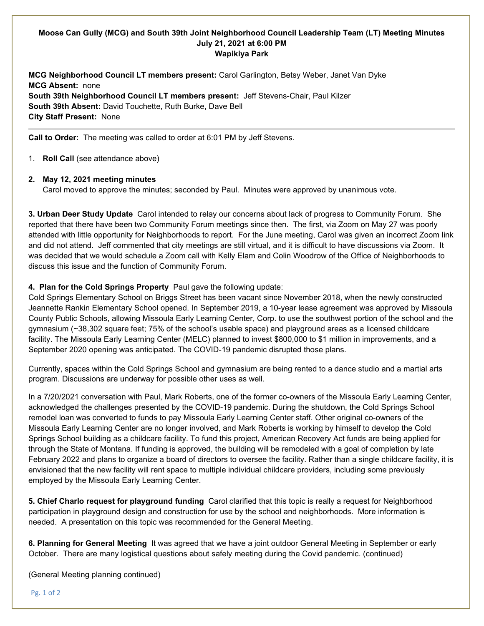# **Moose Can Gully (MCG) and South 39th Joint Neighborhood Council Leadership Team (LT) Meeting Minutes July 21, 2021 at 6:00 PM Wapikiya Park**

**MCG Neighborhood Council LT members present:** Carol Garlington, Betsy Weber, Janet Van Dyke **MCG Absent:** none **South 39th Neighborhood Council LT members present:** Jeff Stevens-Chair, Paul Kilzer **South 39th Absent:** David Touchette, Ruth Burke, Dave Bell **City Staff Present:** None

**Call to Order:** The meeting was called to order at 6:01 PM by Jeff Stevens.

1. **Roll Call** (see attendance above)

# **2. May 12, 2021 meeting minutes**

Carol moved to approve the minutes; seconded by Paul. Minutes were approved by unanimous vote.

**3. Urban Deer Study Update** Carol intended to relay our concerns about lack of progress to Community Forum. She reported that there have been two Community Forum meetings since then. The first, via Zoom on May 27 was poorly attended with little opportunity for Neighborhoods to report. For the June meeting, Carol was given an incorrect Zoom link and did not attend. Jeff commented that city meetings are still virtual, and it is difficult to have discussions via Zoom. It was decided that we would schedule a Zoom call with Kelly Elam and Colin Woodrow of the Office of Neighborhoods to discuss this issue and the function of Community Forum.

# **4. Plan for the Cold Springs Property** Paul gave the following update:

Cold Springs Elementary School on Briggs Street has been vacant since November 2018, when the newly constructed Jeannette Rankin Elementary School opened. In September 2019, a 10-year lease agreement was approved by Missoula County Public Schools, allowing Missoula Early Learning Center, Corp. to use the southwest portion of the school and the gymnasium (~38,302 square feet; 75% of the school's usable space) and playground areas as a licensed childcare facility. The Missoula Early Learning Center (MELC) planned to invest \$800,000 to \$1 million in improvements, and a September 2020 opening was anticipated. The COVID-19 pandemic disrupted those plans.

Currently, spaces within the Cold Springs School and gymnasium are being rented to a dance studio and a martial arts program. Discussions are underway for possible other uses as well.

In a 7/20/2021 conversation with Paul, Mark Roberts, one of the former co-owners of the Missoula Early Learning Center, acknowledged the challenges presented by the COVID-19 pandemic. During the shutdown, the Cold Springs School remodel loan was converted to funds to pay Missoula Early Learning Center staff. Other original co-owners of the Missoula Early Learning Center are no longer involved, and Mark Roberts is working by himself to develop the Cold Springs School building as a childcare facility. To fund this project, American Recovery Act funds are being applied for through the State of Montana. If funding is approved, the building will be remodeled with a goal of completion by late February 2022 and plans to organize a board of directors to oversee the facility. Rather than a single childcare facility, it is envisioned that the new facility will rent space to multiple individual childcare providers, including some previously employed by the Missoula Early Learning Center.

**5. Chief Charlo request for playground funding** Carol clarified that this topic is really a request for Neighborhood participation in playground design and construction for use by the school and neighborhoods. More information is needed. A presentation on this topic was recommended for the General Meeting.

**6. Planning for General Meeting** It was agreed that we have a joint outdoor General Meeting in September or early October. There are many logistical questions about safely meeting during the Covid pandemic. (continued)

(General Meeting planning continued)